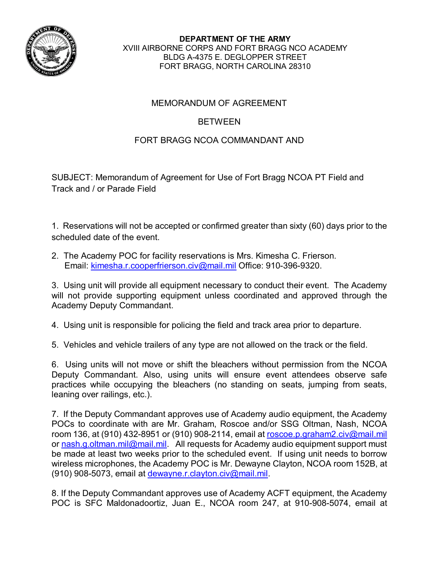

**DEPARTMENT OF THE ARMY** XVIII AIRBORNE CORPS AND FORT BRAGG NCO ACADEMY BLDG A-4375 E. DEGLOPPER STREET FORT BRAGG, NORTH CAROLINA 28310

## MEMORANDUM OF AGREEMENT

## BETWEEN

## FORT BRAGG NCOA COMMANDANT AND

SUBJECT: Memorandum of Agreement for Use of Fort Bragg NCOA PT Field and Track and / or Parade Field

1. Reservations will not be accepted or confirmed greater than sixty (60) days prior to the scheduled date of the event.

2. The Academy POC for facility reservations is Mrs. Kimesha C. Frierson. Email: [kimesha.r.cooperfrierson.civ@mail.mil](mailto:kimesha.r.cooperfrierson.civ@mail.mil) Office: 910-396-9320.

3. Using unit will provide all equipment necessary to conduct their event. The Academy will not provide supporting equipment unless coordinated and approved through the Academy Deputy Commandant.

4. Using unit is responsible for policing the field and track area prior to departure.

5. Vehicles and vehicle trailers of any type are not allowed on the track or the field.

6. Using units will not move or shift the bleachers without permission from the NCOA Deputy Commandant. Also, using units will ensure event attendees observe safe practices while occupying the bleachers (no standing on seats, jumping from seats, leaning over railings, etc.).

7. If the Deputy Commandant approves use of Academy audio equipment, the Academy POCs to coordinate with are Mr. Graham, Roscoe and/or SSG Oltman, Nash, NCOA room 136, at (910) 432-8951 or (910) 908-2114, email at [roscoe.p.graham2.civ@mail.mil](mailto:roscoe.p.graham2.civ@mail.mil) or [nash.g.oltman.mil@mail.mil.](mailto:nash.g.oltman.mil@mail.mil) All requests for Academy audio equipment support must be made at least two weeks prior to the scheduled event. If using unit needs to borrow wireless microphones, the Academy POC is Mr. Dewayne Clayton, NCOA room 152B, at (910) 908-5073, email at [dewayne.r.clayton.civ@mail.mil.](mailto:dewayne.r.clayton.civ@mail.mil)

8. If the Deputy Commandant approves use of Academy ACFT equipment, the Academy POC is SFC Maldonadoortiz, Juan E., NCOA room 247, at 910-908-5074, email at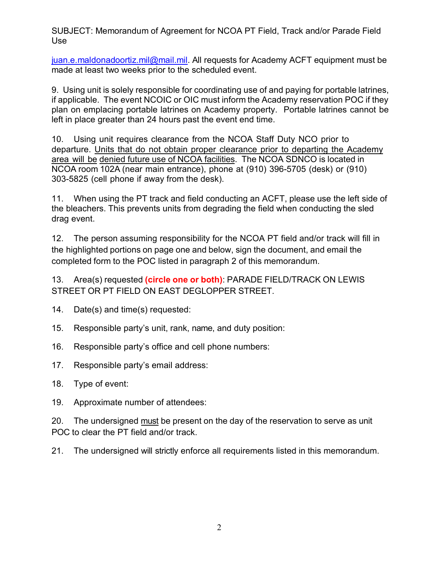SUBJECT: Memorandum of Agreement for NCOA PT Field, Track and/or Parade Field Use

[juan.e.maldonadoortiz.mil@mail.mil.](mailto:juan.e.maldonadoortiz.mil@mail.mil) All requests for Academy ACFT equipment must be made at least two weeks prior to the scheduled event.

9. Using unit is solely responsible for coordinating use of and paying for portable latrines, if applicable. The event NCOIC or OIC must inform the Academy reservation POC if they plan on emplacing portable latrines on Academy property. Portable latrines cannot be left in place greater than 24 hours past the event end time.

10. Using unit requires clearance from the NCOA Staff Duty NCO prior to departure. Units that do not obtain proper clearance prior to departing the Academy area will be denied future use of NCOA facilities. The NCOA SDNCO is located in NCOA room 102A (near main entrance), phone at (910) 396-5705 (desk) or (910) 303-5825 (cell phone if away from the desk).

11. When using the PT track and field conducting an ACFT, please use the left side of the bleachers. This prevents units from degrading the field when conducting the sled drag event.

12. The person assuming responsibility for the NCOA PT field and/or track will fill in the highlighted portions on page one and below, sign the document, and email the completed form to the POC listed in paragraph 2 of this memorandum.

13. Area(s) requested **(circle one or both)**: PARADE FIELD/TRACK ON LEWIS STREET OR PT FIELD ON EAST DEGLOPPER STREET.

- 14. Date(s) and time(s) requested:
- 15. Responsible party's unit, rank, name, and duty position:
- 16. Responsible party's office and cell phone numbers:
- 17. Responsible party's email address:
- 18. Type of event:
- 19. Approximate number of attendees:

20. The undersigned must be present on the day of the reservation to serve as unit POC to clear the PT field and/or track.

21. The undersigned will strictly enforce all requirements listed in this memorandum.